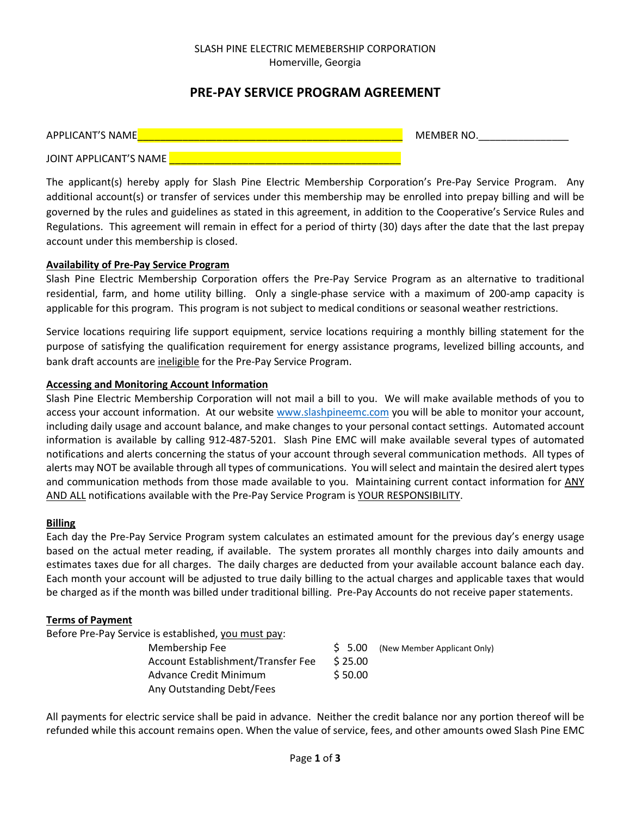#### SLASH PINE ELECTRIC MEMEBERSHIP CORPORATION Homerville, Georgia

# **PRE-PAY SERVICE PROGRAM AGREEMENT**

| APPLICANT'S NAME       | MEMBER NO. |
|------------------------|------------|
| JOINT APPLICANT'S NAME |            |

The applicant(s) hereby apply for Slash Pine Electric Membership Corporation's Pre-Pay Service Program. Any additional account(s) or transfer of services under this membership may be enrolled into prepay billing and will be governed by the rules and guidelines as stated in this agreement, in addition to the Cooperative's Service Rules and Regulations. This agreement will remain in effect for a period of thirty (30) days after the date that the last prepay account under this membership is closed.

#### **Availability of Pre-Pay Service Program**

Slash Pine Electric Membership Corporation offers the Pre-Pay Service Program as an alternative to traditional residential, farm, and home utility billing. Only a single-phase service with a maximum of 200-amp capacity is applicable for this program. This program is not subject to medical conditions or seasonal weather restrictions.

Service locations requiring life support equipment, service locations requiring a monthly billing statement for the purpose of satisfying the qualification requirement for energy assistance programs, levelized billing accounts, and bank draft accounts are ineligible for the Pre-Pay Service Program.

#### **Accessing and Monitoring Account Information**

Slash Pine Electric Membership Corporation will not mail a bill to you. We will make available methods of you to access your account information. At our website www.slashpineemc.com you will be able to monitor your account, including daily usage and account balance, and make changes to your personal contact settings. Automated account information is available by calling 912-487-5201. Slash Pine EMC will make available several types of automated notifications and alerts concerning the status of your account through several communication methods. All types of alerts may NOT be available through all types of communications. You will select and maintain the desired alert types and communication methods from those made available to you. Maintaining current contact information for ANY AND ALL notifications available with the Pre-Pay Service Program is YOUR RESPONSIBILITY.

#### **Billing**

Each day the Pre-Pay Service Program system calculates an estimated amount for the previous day's energy usage based on the actual meter reading, if available. The system prorates all monthly charges into daily amounts and estimates taxes due for all charges. The daily charges are deducted from your available account balance each day. Each month your account will be adjusted to true daily billing to the actual charges and applicable taxes that would be charged as if the month was billed under traditional billing. Pre-Pay Accounts do not receive paper statements.

### **Terms of Payment**

Before Pre-Pay Service is established, you must pay:

| Membership Fee                     | S 5.00  | (New Member Applicant Only) |
|------------------------------------|---------|-----------------------------|
| Account Establishment/Transfer Fee | S 25.00 |                             |
| Advance Credit Minimum             | \$50.00 |                             |
| Any Outstanding Debt/Fees          |         |                             |

All payments for electric service shall be paid in advance. Neither the credit balance nor any portion thereof will be refunded while this account remains open. When the value of service, fees, and other amounts owed Slash Pine EMC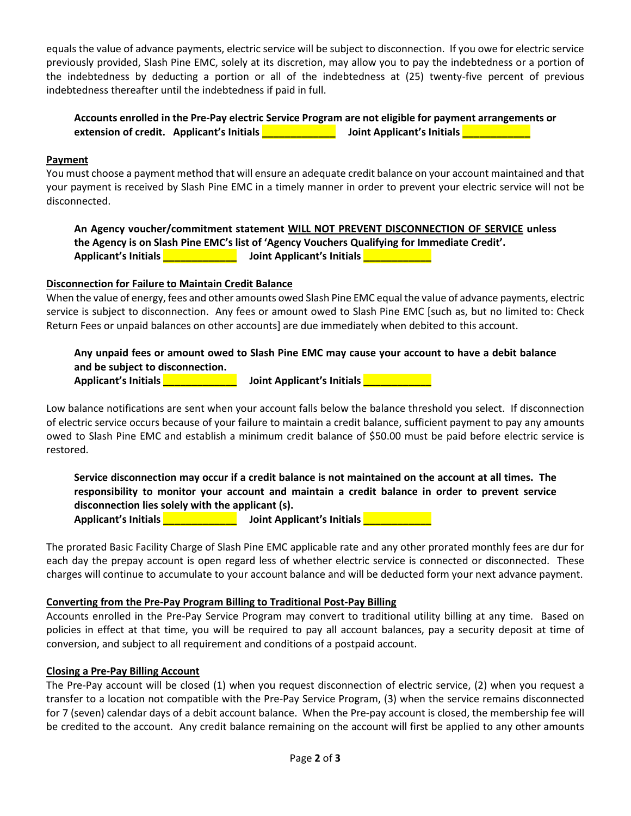equals the value of advance payments, electric service will be subject to disconnection. If you owe for electric service previously provided, Slash Pine EMC, solely at its discretion, may allow you to pay the indebtedness or a portion of the indebtedness by deducting a portion or all of the indebtedness at (25) twenty-five percent of previous indebtedness thereafter until the indebtedness if paid in full.

### **Accounts enrolled in the Pre-Pay electric Service Program are not eligible for payment arrangements or extension of credit. Applicant's Initials and Applicant's Initials and Applicant's Initials and Applicant's Initials**

#### **Payment**

You must choose a payment method that will ensure an adequate credit balance on your account maintained and that your payment is received by Slash Pine EMC in a timely manner in order to prevent your electric service will not be disconnected.

**An Agency voucher/commitment statement WILL NOT PREVENT DISCONNECTION OF SERVICE unless the Agency is on Slash Pine EMC's list of 'Agency Vouchers Qualifying for Immediate Credit'. Applicant's Initials Alternative Constraint Applicant's Initials Alternative Constraint Applicant's Initials** 

#### **Disconnection for Failure to Maintain Credit Balance**

When the value of energy, fees and other amounts owed Slash Pine EMC equal the value of advance payments, electric service is subject to disconnection. Any fees or amount owed to Slash Pine EMC [such as, but no limited to: Check Return Fees or unpaid balances on other accounts] are due immediately when debited to this account.

## **Any unpaid fees or amount owed to Slash Pine EMC may cause your account to have a debit balance and be subject to disconnection.**

**Applicant's Initials Alternative Constraint Applicant's Initials Alternative Constraint Applicant's Initials** 

Low balance notifications are sent when your account falls below the balance threshold you select. If disconnection of electric service occurs because of your failure to maintain a credit balance, sufficient payment to pay any amounts owed to Slash Pine EMC and establish a minimum credit balance of \$50.00 must be paid before electric service is restored.

**Service disconnection may occur if a credit balance is not maintained on the account at all times. The responsibility to monitor your account and maintain a credit balance in order to prevent service disconnection lies solely with the applicant (s).** 

**Applicant's Initials \_\_\_\_\_\_\_\_\_\_\_\_\_ Joint Applicant's Initials \_\_\_\_\_\_\_\_\_\_\_\_** 

The prorated Basic Facility Charge of Slash Pine EMC applicable rate and any other prorated monthly fees are dur for each day the prepay account is open regard less of whether electric service is connected or disconnected. These charges will continue to accumulate to your account balance and will be deducted form your next advance payment.

#### **Converting from the Pre-Pay Program Billing to Traditional Post-Pay Billing**

Accounts enrolled in the Pre-Pay Service Program may convert to traditional utility billing at any time. Based on policies in effect at that time, you will be required to pay all account balances, pay a security deposit at time of conversion, and subject to all requirement and conditions of a postpaid account.

#### **Closing a Pre-Pay Billing Account**

The Pre-Pay account will be closed (1) when you request disconnection of electric service, (2) when you request a transfer to a location not compatible with the Pre-Pay Service Program, (3) when the service remains disconnected for 7 (seven) calendar days of a debit account balance. When the Pre-pay account is closed, the membership fee will be credited to the account. Any credit balance remaining on the account will first be applied to any other amounts